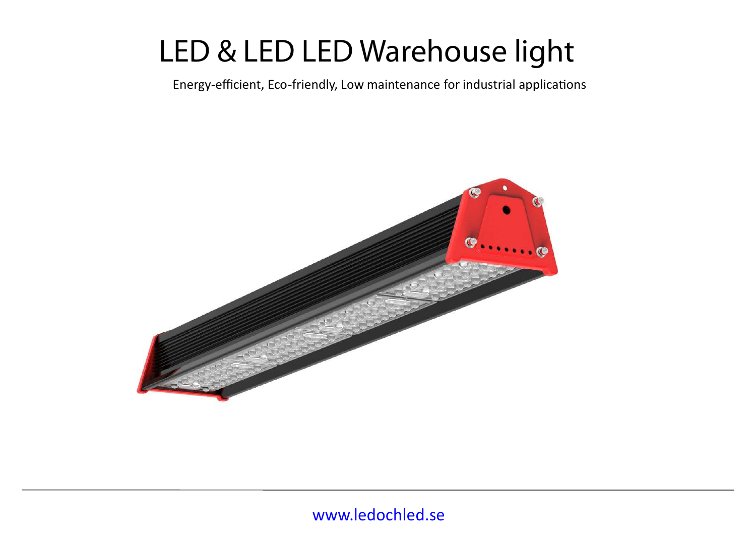# **LED & LED LED Warehouse light**

Energy-efficient, Eco-friendly, Low maintenance for industrial applications

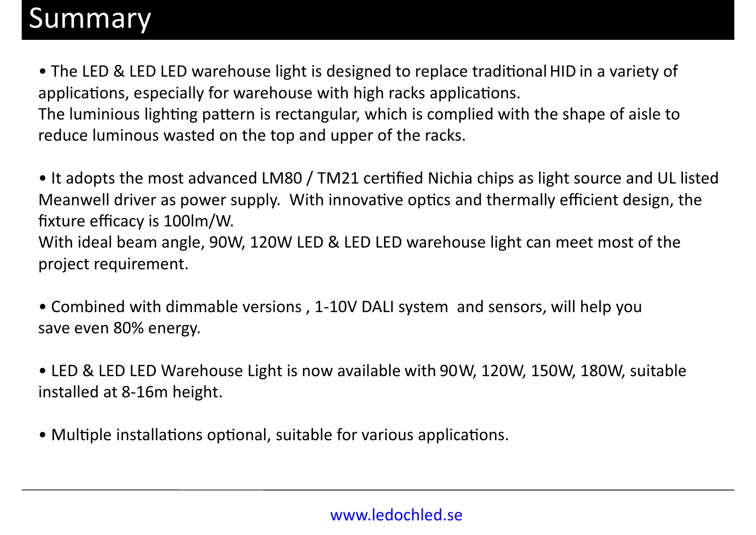### Summary

• The LED & LED LED warehouse light is designed to replace traditional HID in a variety of applications, especially for warehouse with high racks applications. The luminious lighting pattern is rectangular, which is complied with the shape of aisle to reduce luminous wasted on the top and upper of the racks.

• It adopts the most advanced LM80 / TM21 certified Nichia chips as light source and UL listed Meanwell driver as power supply. With innovative optics and thermally efficient design, the fixture efficacy is 100lm/W. With ideal beam angle, 90W, 120W LED & LED LED warehouse light can meet most of the project requirement.

• Combined with dimmable versions , 1-10V DALI system and sensors, will help you save even 80% energy.

• LED & LED LED Warehouse Light is now available with 90W, 120W, 150W, 180W, suitable installed at 8-16m height.

• Multiple installations optional, suitable for various applications.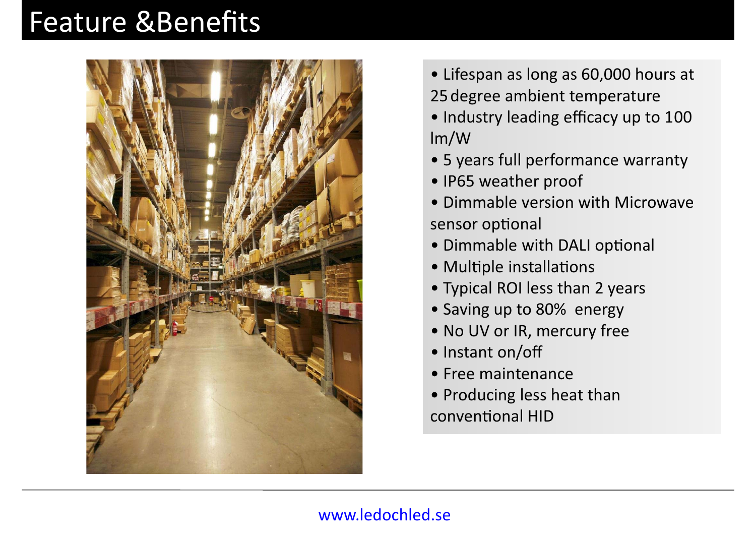# **Feature &Benefits**



- Lifespan as long as 60,000 hours at 25 degree ambient temperature
- Industry leading efficacy up to 100 lm/W
- 5 years full performance warranty
- IP65 weather proof
- Dimmable version with Microwave sensor optional
- Dimmable with DALI optional
- Multiple installations
- Typical ROI less than 2 years
- Saving up to 80% energy
- No UV or IR, mercury free
- Instant on/off
- Free maintenance
- Producing less heat than conventional HID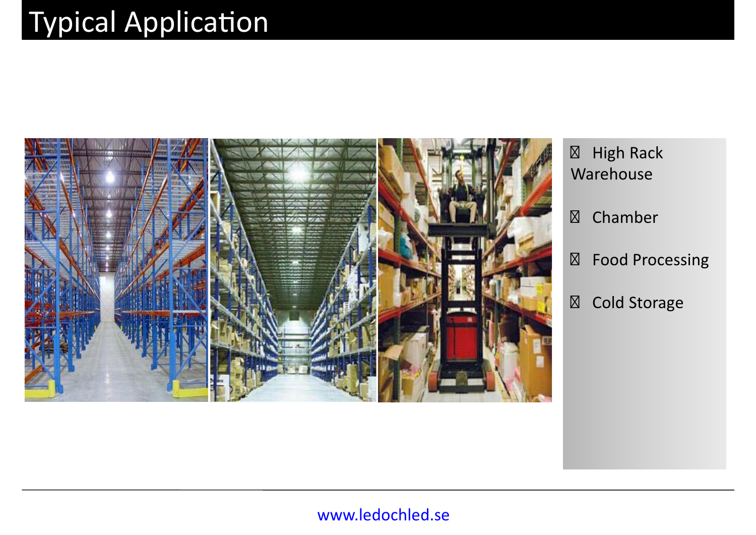# **Typical Application**



- ⊠ High Rack Warehouse
- Chamber
- Food Processing
- Cold Storage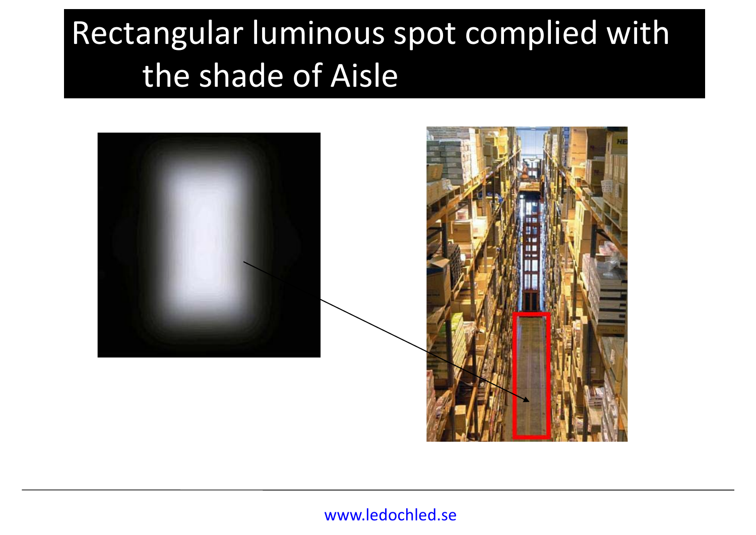# Rectangular luminous spot complied with the shade of Aisle

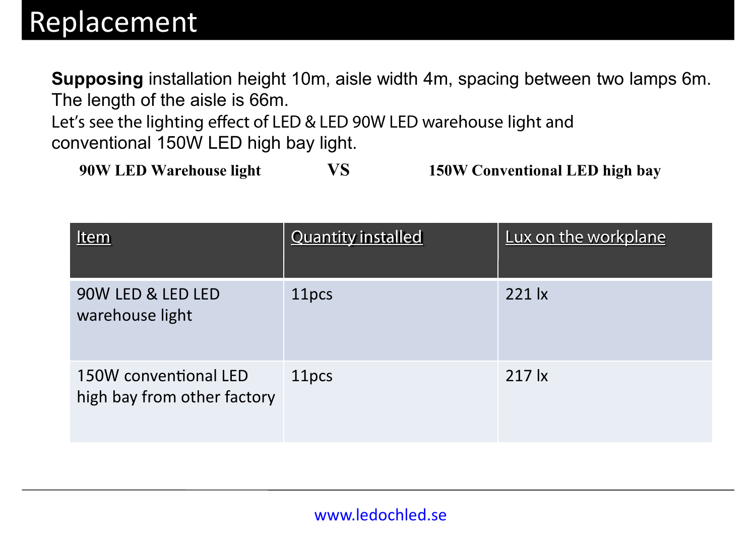**Supposing** installation height 10m, aisle width 4m, spacing between two lamps 6m. The length of the aisle is 66m.

Let's see the lighting effect of LED & LED 90W LED warehouse light and conventional 150W LED high bay light.

**90W LED Warehouse light VS 150W Conventional LED high bay** 

| Item                                                 | <b>Quantity installed</b> | Lux on the workplane             |
|------------------------------------------------------|---------------------------|----------------------------------|
| 90W LED & LED LED<br>warehouse light                 | 11pcs                     | $221$ $\overline{\phantom{1}}$ x |
| 150W conventional LED<br>high bay from other factory | 11pcs                     | $217 \mathrm{lx}$                |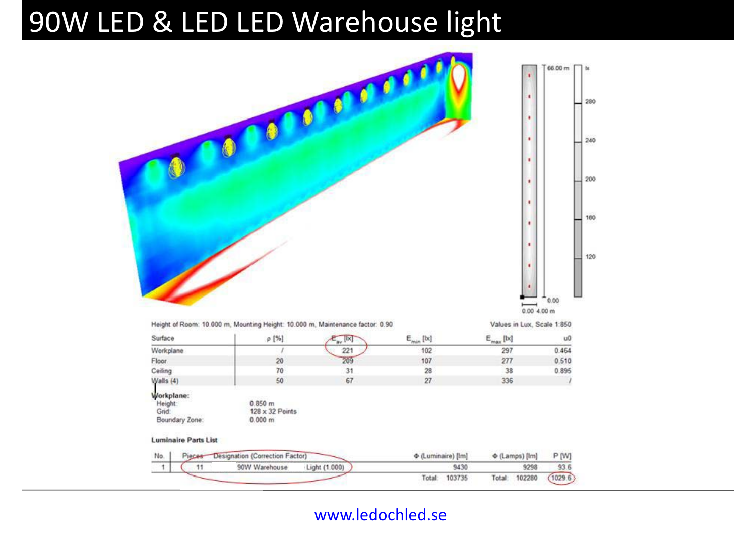### 90W LED & LED LED Warehouse light

| ٠<br>0.00<br>۳<br>0.00 4.00 m<br>Height of Room: 10.000 m, Mounting Height: 10.000 m, Maintenance factor: 0.90<br>Values in Lux, Scale 1:850<br>Surface<br>$\mathsf{E}_{\min}$ [b;]<br>p [%]<br>$E_{max}$ [bc]<br>$\mathbb{R}$ [X]<br>Workplane<br>221<br>102<br>297<br>$\sqrt{ }$<br>209<br>277<br>Floor<br>20<br>107<br>70<br>31<br>28<br>Ceiling<br>38<br>67<br>50<br>27<br>336<br>Walls (4)<br>Workplane:<br>Height:<br>0.850 m<br>Grid:<br>$128 \times 32$ Points<br>Boundary Zone:<br>0.000 m<br><b>Luminaire Parts List</b><br>Designation (Correction Factor)<br>+ (Luminaire) [Im]<br>$\Phi$ (Lamps) [lm]<br>P [W]<br>Pieces-<br>No.<br>93.6<br>90W Warehouse<br>Light (1.000)<br>9430<br>9298<br>1<br>11 |  | 000 | ٠<br>٠<br>٠<br>٠<br>٠<br>٠<br>٠<br>٠ | 66.00 m |
|--------------------------------------------------------------------------------------------------------------------------------------------------------------------------------------------------------------------------------------------------------------------------------------------------------------------------------------------------------------------------------------------------------------------------------------------------------------------------------------------------------------------------------------------------------------------------------------------------------------------------------------------------------------------------------------------------------------------|--|-----|--------------------------------------|---------|
|                                                                                                                                                                                                                                                                                                                                                                                                                                                                                                                                                                                                                                                                                                                    |  |     |                                      |         |
|                                                                                                                                                                                                                                                                                                                                                                                                                                                                                                                                                                                                                                                                                                                    |  |     |                                      | u0      |
|                                                                                                                                                                                                                                                                                                                                                                                                                                                                                                                                                                                                                                                                                                                    |  |     |                                      | 0.464   |
|                                                                                                                                                                                                                                                                                                                                                                                                                                                                                                                                                                                                                                                                                                                    |  |     |                                      | 0.510   |
|                                                                                                                                                                                                                                                                                                                                                                                                                                                                                                                                                                                                                                                                                                                    |  |     |                                      | 0.895   |
|                                                                                                                                                                                                                                                                                                                                                                                                                                                                                                                                                                                                                                                                                                                    |  |     |                                      |         |
|                                                                                                                                                                                                                                                                                                                                                                                                                                                                                                                                                                                                                                                                                                                    |  |     |                                      |         |
|                                                                                                                                                                                                                                                                                                                                                                                                                                                                                                                                                                                                                                                                                                                    |  |     |                                      |         |
|                                                                                                                                                                                                                                                                                                                                                                                                                                                                                                                                                                                                                                                                                                                    |  |     |                                      |         |
|                                                                                                                                                                                                                                                                                                                                                                                                                                                                                                                                                                                                                                                                                                                    |  |     |                                      |         |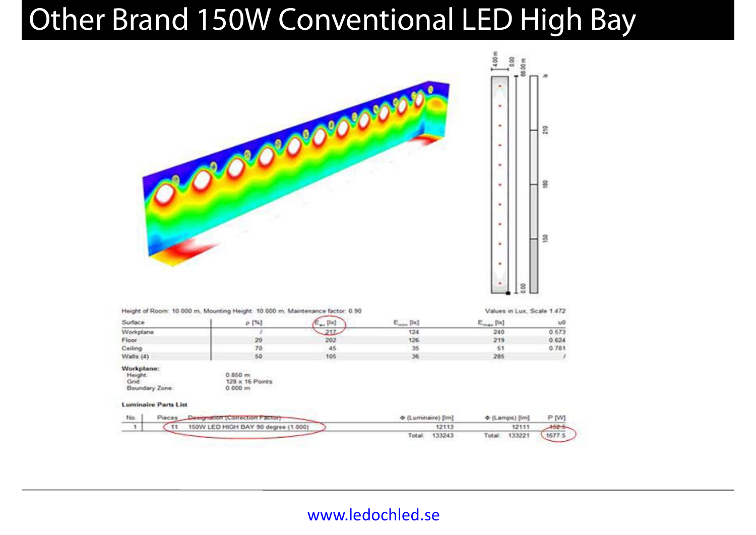# **Other Brand 150W Conventional LED High Bay**





|                                                                                 | Height of Room: 10.000 m. Mounting Height: 10.000 m. Maintenance factor: 0.90 |                    |                 | Values in Lux, Scale 1:472 |           |
|---------------------------------------------------------------------------------|-------------------------------------------------------------------------------|--------------------|-----------------|----------------------------|-----------|
| Surface                                                                         | $\rho$ [%]                                                                    | $\epsilon$ [b]     | $E_{min}$ [bd]  | $E_{max}$ [b)]             | .u0       |
| Workplane                                                                       |                                                                               | $-217$             | 124             | 240                        | 0.573     |
| Floor.                                                                          | 20                                                                            | 202                | 126             | 219                        | 0.624     |
| Ceiling                                                                         | 70                                                                            | 45                 | 35              | 51                         | 0.781     |
| Walls $(4)$                                                                     | 50                                                                            | 105                | 36              | 285<br><b>BOOK</b>         |           |
| Workplane:<br>Height:<br>Grid:<br>Boundary Zone:<br><b>Luminaire Parts List</b> | 0.850 m<br>128 x 16 Points<br>0.000 m                                         |                    |                 |                            |           |
| No.<br>Pieces<br>Designation (Correction Factor)                                |                                                                               | + (Luminaire) [Im] | + (Lamps) [lm]  | P [W]                      |           |
| $-11$<br>$\mathbf{1}$                                                           | 150W LED HIGH BAY 90 degree (1.000)                                           |                    | 12113           | 12111                      | $462 - 5$ |
|                                                                                 |                                                                               |                    | 133243<br>Total | 133221<br>Total:           | 1677.5    |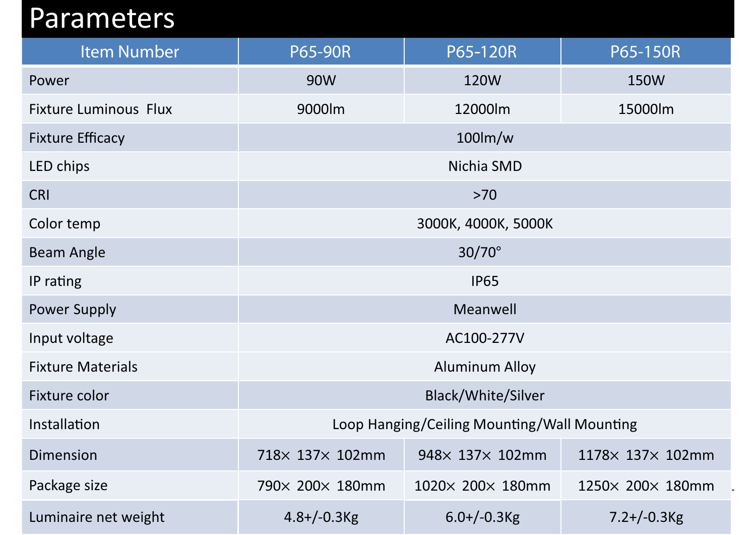### Parameters

| <b>Item Number</b>           | <b>P65-90R</b>                              | P65-120R         | P65-150R         |
|------------------------------|---------------------------------------------|------------------|------------------|
| Power                        | 90W                                         | 120W             | <b>150W</b>      |
| <b>Fixture Luminous Flux</b> | 9000lm                                      | 12000lm          | 15000lm          |
| <b>Fixture Efficacy</b>      | $100$ lm/w                                  |                  |                  |
| LED chips                    | Nichia SMD                                  |                  |                  |
| <b>CRI</b>                   | >70                                         |                  |                  |
| Color temp                   | 3000K, 4000K, 5000K                         |                  |                  |
| <b>Beam Angle</b>            | $30/70^\circ$                               |                  |                  |
| IP rating                    | <b>IP65</b>                                 |                  |                  |
| <b>Power Supply</b>          | Meanwell                                    |                  |                  |
| Input voltage                | AC100-277V                                  |                  |                  |
| <b>Fixture Materials</b>     | <b>Aluminum Alloy</b>                       |                  |                  |
| Fixture color                | <b>Black/White/Silver</b>                   |                  |                  |
| Installation                 | Loop Hanging/Ceiling Mounting/Wall Mounting |                  |                  |
| <b>Dimension</b>             | 718× 137× 102mm                             | 948× 137× 102mm  | 1178× 137× 102mm |
| Package size                 | 790× 200× 180mm                             | 1020× 200× 180mm | 1250× 200× 180mm |
| Luminaire net weight         | $4.8 + (-0.3)$                              | $6.0 + (-0.3)$   | $7.2 + (-0.3)$   |